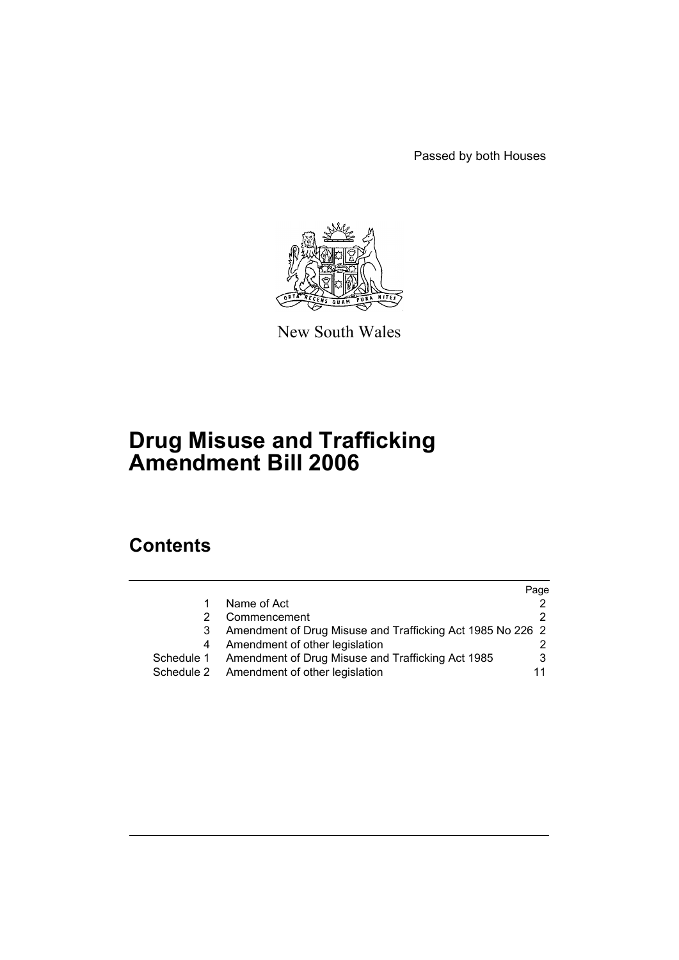Passed by both Houses



New South Wales

# **Drug Misuse and Trafficking Amendment Bill 2006**

# **Contents**

|            |                                                            | Page |
|------------|------------------------------------------------------------|------|
|            | Name of Act                                                |      |
|            | Commencement                                               |      |
| 3          | Amendment of Drug Misuse and Trafficking Act 1985 No 226 2 |      |
| 4          | Amendment of other legislation                             |      |
| Schedule 1 | Amendment of Drug Misuse and Trafficking Act 1985          |      |
| Schedule 2 | Amendment of other legislation                             | 11   |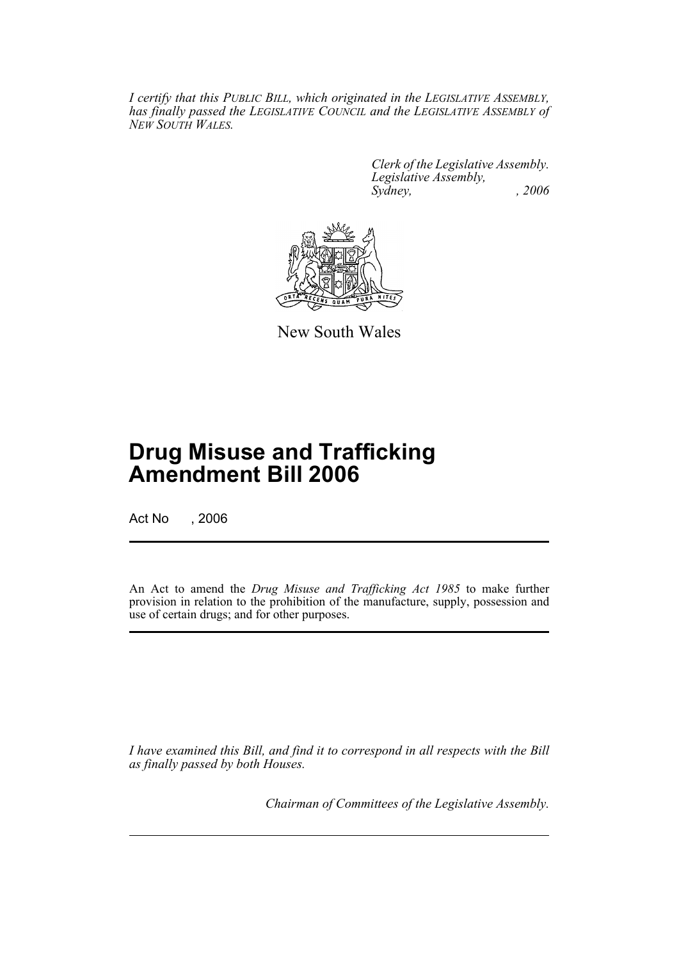*I certify that this PUBLIC BILL, which originated in the LEGISLATIVE ASSEMBLY, has finally passed the LEGISLATIVE COUNCIL and the LEGISLATIVE ASSEMBLY of NEW SOUTH WALES.*

> *Clerk of the Legislative Assembly. Legislative Assembly, Sydney, , 2006*



New South Wales

# **Drug Misuse and Trafficking Amendment Bill 2006**

Act No , 2006

An Act to amend the *Drug Misuse and Trafficking Act 1985* to make further provision in relation to the prohibition of the manufacture, supply, possession and use of certain drugs; and for other purposes.

*I have examined this Bill, and find it to correspond in all respects with the Bill as finally passed by both Houses.*

*Chairman of Committees of the Legislative Assembly.*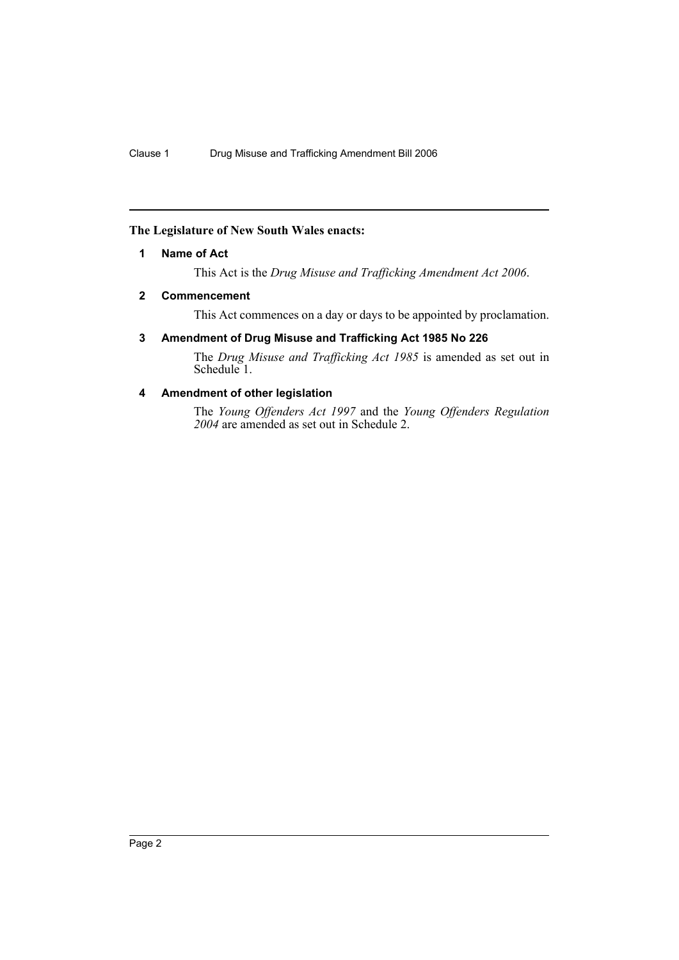# <span id="page-2-0"></span>**The Legislature of New South Wales enacts:**

# **1 Name of Act**

This Act is the *Drug Misuse and Trafficking Amendment Act 2006*.

# <span id="page-2-1"></span>**2 Commencement**

This Act commences on a day or days to be appointed by proclamation.

# <span id="page-2-2"></span>**3 Amendment of Drug Misuse and Trafficking Act 1985 No 226**

The *Drug Misuse and Trafficking Act 1985* is amended as set out in Schedule<sup>1</sup>.

# <span id="page-2-3"></span>**4 Amendment of other legislation**

The *Young Offenders Act 1997* and the *Young Offenders Regulation 2004* are amended as set out in Schedule 2.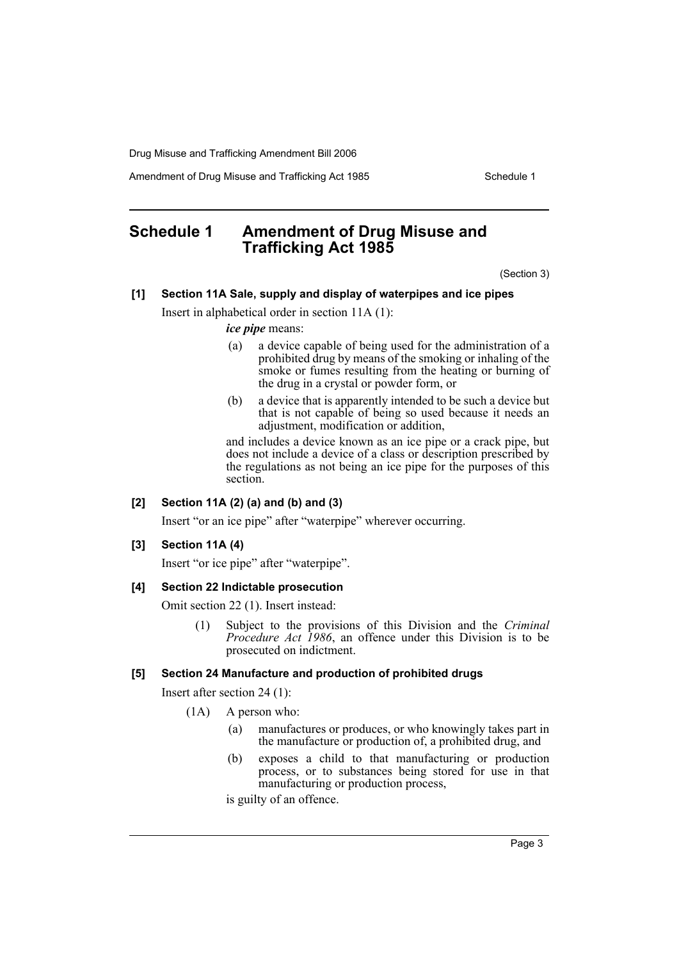Amendment of Drug Misuse and Trafficking Act 1985 Schedule 1

# <span id="page-3-0"></span>**Schedule 1 Amendment of Drug Misuse and Trafficking Act 1985**

(Section 3)

# **[1] Section 11A Sale, supply and display of waterpipes and ice pipes**

Insert in alphabetical order in section 11A (1):

*ice pipe* means:

- (a) a device capable of being used for the administration of a prohibited drug by means of the smoking or inhaling of the smoke or fumes resulting from the heating or burning of the drug in a crystal or powder form, or
- (b) a device that is apparently intended to be such a device but that is not capable of being so used because it needs an adjustment, modification or addition,

and includes a device known as an ice pipe or a crack pipe, but does not include a device of a class or description prescribed by the regulations as not being an ice pipe for the purposes of this section.

## **[2] Section 11A (2) (a) and (b) and (3)**

Insert "or an ice pipe" after "waterpipe" wherever occurring.

#### **[3] Section 11A (4)**

Insert "or ice pipe" after "waterpipe".

#### **[4] Section 22 Indictable prosecution**

Omit section 22 (1). Insert instead:

(1) Subject to the provisions of this Division and the *Criminal Procedure Act 1986*, an offence under this Division is to be prosecuted on indictment.

#### **[5] Section 24 Manufacture and production of prohibited drugs**

Insert after section 24 (1):

- (1A) A person who:
	- (a) manufactures or produces, or who knowingly takes part in the manufacture or production of, a prohibited drug, and
	- (b) exposes a child to that manufacturing or production process, or to substances being stored for use in that manufacturing or production process,

is guilty of an offence.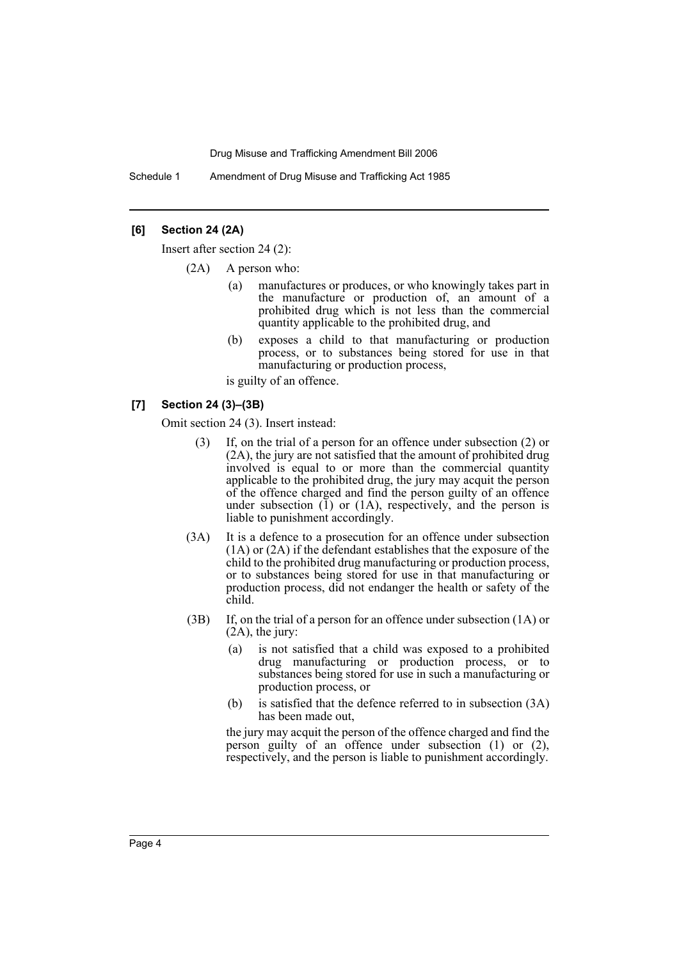Schedule 1 Amendment of Drug Misuse and Trafficking Act 1985

# **[6] Section 24 (2A)**

Insert after section 24 (2):

- (2A) A person who:
	- (a) manufactures or produces, or who knowingly takes part in the manufacture or production of, an amount of a prohibited drug which is not less than the commercial quantity applicable to the prohibited drug, and
	- (b) exposes a child to that manufacturing or production process, or to substances being stored for use in that manufacturing or production process,

is guilty of an offence.

# **[7] Section 24 (3)–(3B)**

Omit section 24 (3). Insert instead:

- (3) If, on the trial of a person for an offence under subsection (2) or (2A), the jury are not satisfied that the amount of prohibited drug involved is equal to or more than the commercial quantity applicable to the prohibited drug, the jury may acquit the person of the offence charged and find the person guilty of an offence under subsection  $(1)$  or  $(1)$ , respectively, and the person is liable to punishment accordingly.
- (3A) It is a defence to a prosecution for an offence under subsection (1A) or (2A) if the defendant establishes that the exposure of the child to the prohibited drug manufacturing or production process, or to substances being stored for use in that manufacturing or production process, did not endanger the health or safety of the child.
- (3B) If, on the trial of a person for an offence under subsection (1A) or (2A), the jury:
	- (a) is not satisfied that a child was exposed to a prohibited drug manufacturing or production process, or to substances being stored for use in such a manufacturing or production process, or
	- (b) is satisfied that the defence referred to in subsection (3A) has been made out,

the jury may acquit the person of the offence charged and find the person guilty of an offence under subsection (1) or (2), respectively, and the person is liable to punishment accordingly.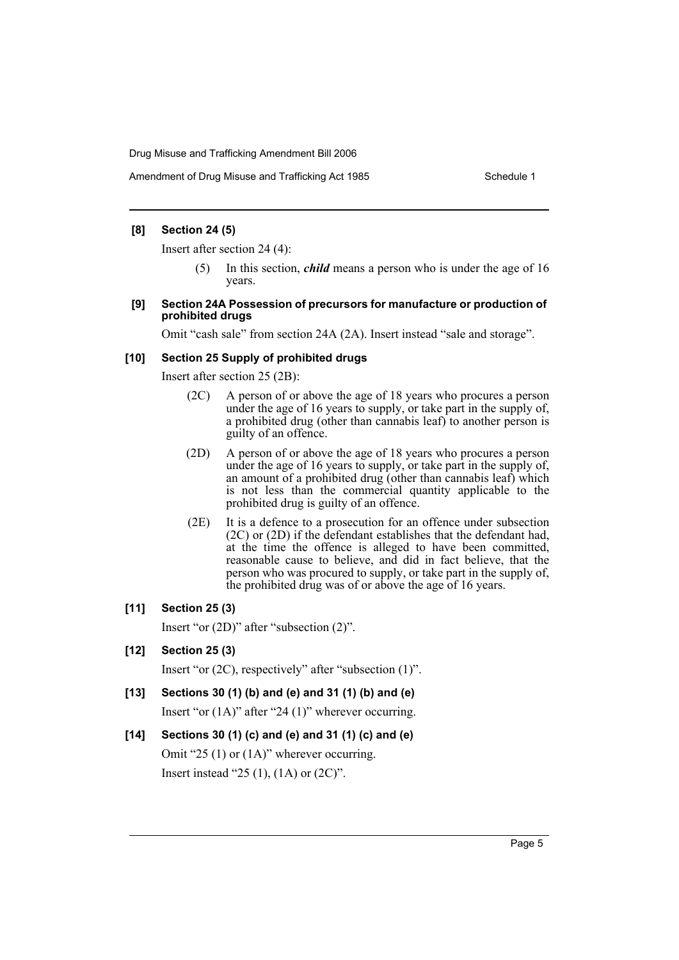## **[8] Section 24 (5)**

Insert after section 24 (4):

- (5) In this section, *child* means a person who is under the age of 16 years.
- **[9] Section 24A Possession of precursors for manufacture or production of prohibited drugs**

Omit "cash sale" from section 24A (2A). Insert instead "sale and storage".

# **[10] Section 25 Supply of prohibited drugs**

Insert after section 25 (2B):

- (2C) A person of or above the age of 18 years who procures a person under the age of 16 years to supply, or take part in the supply of, a prohibited drug (other than cannabis leaf) to another person is guilty of an offence.
- (2D) A person of or above the age of 18 years who procures a person under the age of 16 years to supply, or take part in the supply of, an amount of a prohibited drug (other than cannabis leaf) which is not less than the commercial quantity applicable to the prohibited drug is guilty of an offence.
- (2E) It is a defence to a prosecution for an offence under subsection (2C) or (2D) if the defendant establishes that the defendant had, at the time the offence is alleged to have been committed, reasonable cause to believe, and did in fact believe, that the person who was procured to supply, or take part in the supply of, the prohibited drug was of or above the age of 16 years.

# **[11] Section 25 (3)**

Insert "or (2D)" after "subsection (2)".

**[12] Section 25 (3)**

Insert "or (2C), respectively" after "subsection (1)".

**[13] Sections 30 (1) (b) and (e) and 31 (1) (b) and (e)**

Insert "or (1A)" after "24 (1)" wherever occurring.

**[14] Sections 30 (1) (c) and (e) and 31 (1) (c) and (e)**

Omit "25 (1) or (1A)" wherever occurring. Insert instead "25 (1), (1A) or (2C)".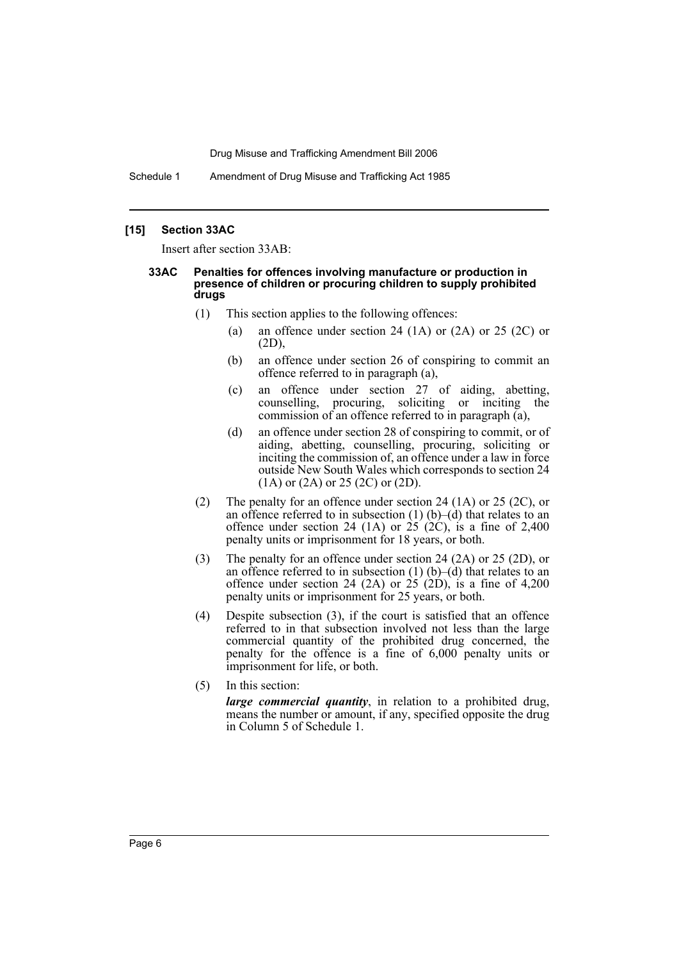Schedule 1 Amendment of Drug Misuse and Trafficking Act 1985

#### **[15] Section 33AC**

Insert after section 33AB:

#### **33AC Penalties for offences involving manufacture or production in presence of children or procuring children to supply prohibited drugs**

- (1) This section applies to the following offences:
	- (a) an offence under section 24 (1A) or  $(2A)$  or  $25 (2C)$  or (2D),
	- (b) an offence under section 26 of conspiring to commit an offence referred to in paragraph (a),
	- (c) an offence under section 27 of aiding, abetting, counselling, procuring, soliciting or inciting the commission of an offence referred to in paragraph (a),
	- (d) an offence under section 28 of conspiring to commit, or of aiding, abetting, counselling, procuring, soliciting or inciting the commission of, an offence under a law in force outside New South Wales which corresponds to section 24 (1A) or (2A) or 25 (2C) or (2D).
- (2) The penalty for an offence under section 24 (1A) or 25 (2C), or an offence referred to in subsection  $(1)$   $(b)$ – $(d)$  that relates to an offence under section 24 (1A) or 25 (2C), is a fine of  $2,400$ penalty units or imprisonment for 18 years, or both.
- (3) The penalty for an offence under section 24 (2A) or 25 (2D), or an offence referred to in subsection  $(1)$   $(b)$ – $(d)$  that relates to an offence under section 24 (2A) or  $25$  (2D), is a fine of 4,200 penalty units or imprisonment for 25 years, or both.
- (4) Despite subsection (3), if the court is satisfied that an offence referred to in that subsection involved not less than the large commercial quantity of the prohibited drug concerned, the penalty for the offence is a fine of 6,000 penalty units or imprisonment for life, or both.
- (5) In this section:

*large commercial quantity*, in relation to a prohibited drug, means the number or amount, if any, specified opposite the drug in Column 5 of Schedule 1.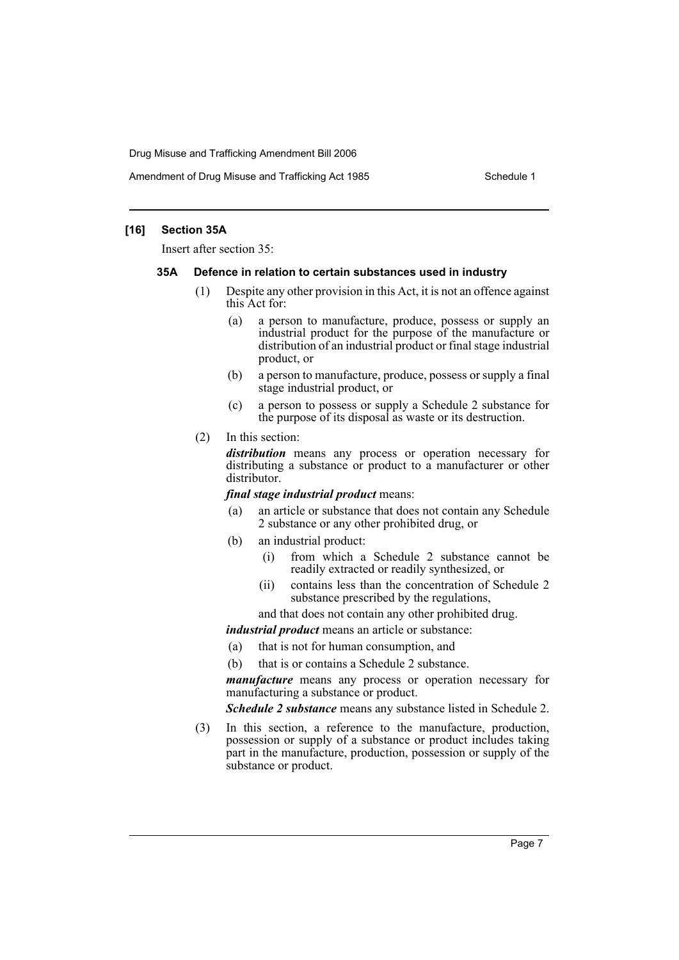Amendment of Drug Misuse and Trafficking Act 1985 Schedule 1

## **[16] Section 35A**

Insert after section 35:

#### **35A Defence in relation to certain substances used in industry**

- (1) Despite any other provision in this Act, it is not an offence against this Act for:
	- (a) a person to manufacture, produce, possess or supply an industrial product for the purpose of the manufacture or distribution of an industrial product or final stage industrial product, or
	- (b) a person to manufacture, produce, possess or supply a final stage industrial product, or
	- (c) a person to possess or supply a Schedule 2 substance for the purpose of its disposal as waste or its destruction.
- (2) In this section:

*distribution* means any process or operation necessary for distributing a substance or product to a manufacturer or other distributor.

#### *final stage industrial product* means:

- (a) an article or substance that does not contain any Schedule 2 substance or any other prohibited drug, or
- (b) an industrial product:
	- (i) from which a Schedule 2 substance cannot be readily extracted or readily synthesized, or
	- (ii) contains less than the concentration of Schedule 2 substance prescribed by the regulations,
	- and that does not contain any other prohibited drug.

*industrial product* means an article or substance:

- (a) that is not for human consumption, and
- (b) that is or contains a Schedule 2 substance.

*manufacture* means any process or operation necessary for manufacturing a substance or product.

*Schedule 2 substance* means any substance listed in Schedule 2.

(3) In this section, a reference to the manufacture, production, possession or supply of a substance or product includes taking part in the manufacture, production, possession or supply of the substance or product.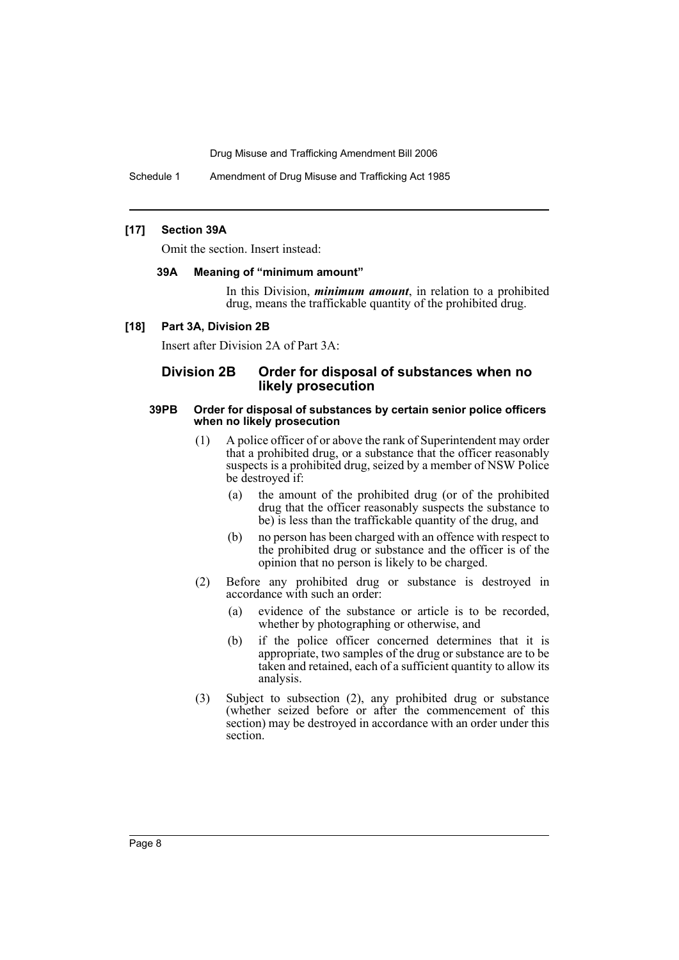Schedule 1 Amendment of Drug Misuse and Trafficking Act 1985

#### **[17] Section 39A**

Omit the section. Insert instead:

#### **39A Meaning of "minimum amount"**

In this Division, *minimum amount*, in relation to a prohibited drug, means the traffickable quantity of the prohibited drug.

#### **[18] Part 3A, Division 2B**

Insert after Division 2A of Part 3A:

# **Division 2B Order for disposal of substances when no likely prosecution**

#### **39PB Order for disposal of substances by certain senior police officers when no likely prosecution**

- (1) A police officer of or above the rank of Superintendent may order that a prohibited drug, or a substance that the officer reasonably suspects is a prohibited drug, seized by a member of NSW Police be destroyed if:
	- (a) the amount of the prohibited drug (or of the prohibited drug that the officer reasonably suspects the substance to be) is less than the traffickable quantity of the drug, and
	- (b) no person has been charged with an offence with respect to the prohibited drug or substance and the officer is of the opinion that no person is likely to be charged.
- (2) Before any prohibited drug or substance is destroyed in accordance with such an order:
	- (a) evidence of the substance or article is to be recorded, whether by photographing or otherwise, and
	- (b) if the police officer concerned determines that it is appropriate, two samples of the drug or substance are to be taken and retained, each of a sufficient quantity to allow its analysis.
- (3) Subject to subsection (2), any prohibited drug or substance (whether seized before or after the commencement of this section) may be destroyed in accordance with an order under this section.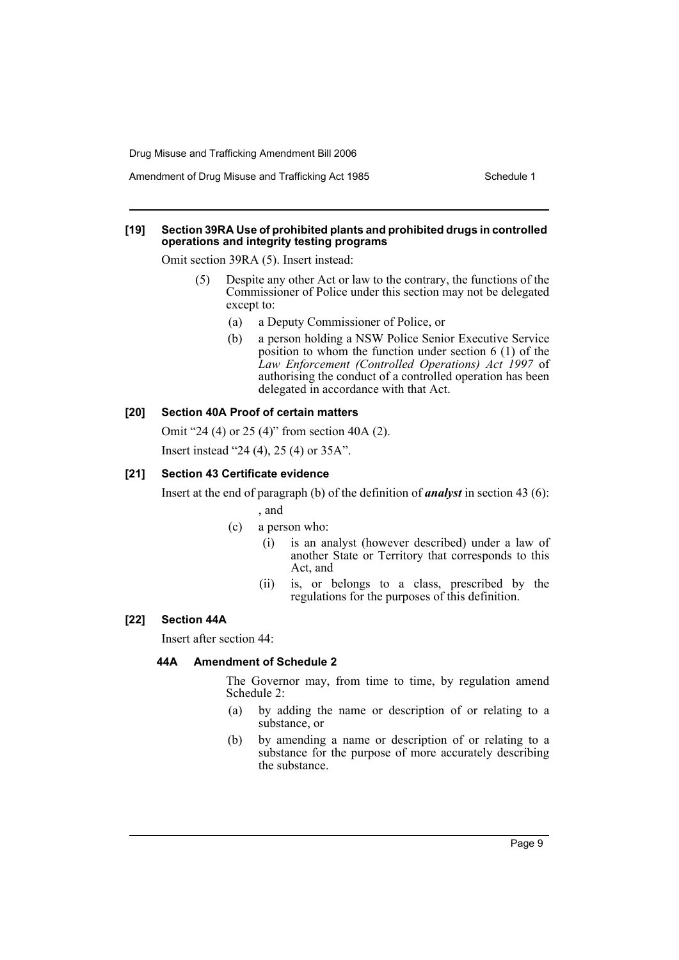#### **[19] Section 39RA Use of prohibited plants and prohibited drugs in controlled operations and integrity testing programs**

Omit section 39RA (5). Insert instead:

- (5) Despite any other Act or law to the contrary, the functions of the Commissioner of Police under this section may not be delegated except to:
	- (a) a Deputy Commissioner of Police, or
	- (b) a person holding a NSW Police Senior Executive Service position to whom the function under section 6 (1) of the *Law Enforcement (Controlled Operations) Act 1997* of authorising the conduct of a controlled operation has been delegated in accordance with that Act.

#### **[20] Section 40A Proof of certain matters**

Omit "24 (4) or 25 (4)" from section 40A (2).

Insert instead "24 (4), 25 (4) or 35A".

#### **[21] Section 43 Certificate evidence**

Insert at the end of paragraph (b) of the definition of *analyst* in section 43 (6):

#### , and

- (c) a person who:
	- (i) is an analyst (however described) under a law of another State or Territory that corresponds to this Act, and
	- (ii) is, or belongs to a class, prescribed by the regulations for the purposes of this definition.

## **[22] Section 44A**

Insert after section 44:

#### **44A Amendment of Schedule 2**

The Governor may, from time to time, by regulation amend Schedule 2:

- (a) by adding the name or description of or relating to a substance, or
- (b) by amending a name or description of or relating to a substance for the purpose of more accurately describing the substance.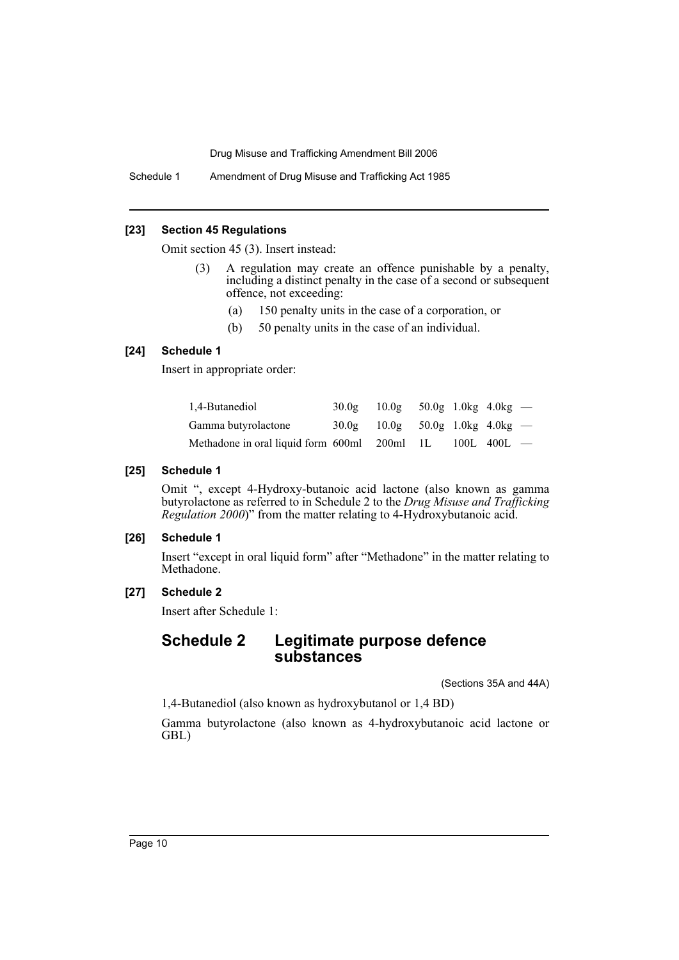Schedule 1 Amendment of Drug Misuse and Trafficking Act 1985

## **[23] Section 45 Regulations**

Omit section 45 (3). Insert instead:

- (3) A regulation may create an offence punishable by a penalty, including a distinct penalty in the case of a second or subsequent offence, not exceeding:
	- (a) 150 penalty units in the case of a corporation, or
	- (b) 50 penalty units in the case of an individual.

# **[24] Schedule 1**

Insert in appropriate order:

| 1,4-Butanediol                               | 30.0g | $10.0g$ 50.0g 1.0kg 4.0kg — |  |                 |  |
|----------------------------------------------|-------|-----------------------------|--|-----------------|--|
| Gamma butyrolactone                          | 30.0g | $10.0g$ 50.0g 1.0kg 4.0kg — |  |                 |  |
| Methadone in oral liquid form 600ml 200ml 1L |       |                             |  | $100L$ 400L $-$ |  |

# **[25] Schedule 1**

Omit ", except 4-Hydroxy-butanoic acid lactone (also known as gamma butyrolactone as referred to in Schedule 2 to the *Drug Misuse and Trafficking Regulation 2000*)" from the matter relating to 4-Hydroxybutanoic acid.

# **[26] Schedule 1**

Insert "except in oral liquid form" after "Methadone" in the matter relating to Methadone.

# **[27] Schedule 2**

Insert after Schedule 1:

# **Schedule 2 Legitimate purpose defence substances**

(Sections 35A and 44A)

1,4-Butanediol (also known as hydroxybutanol or 1,4 BD)

Gamma butyrolactone (also known as 4-hydroxybutanoic acid lactone or GBL)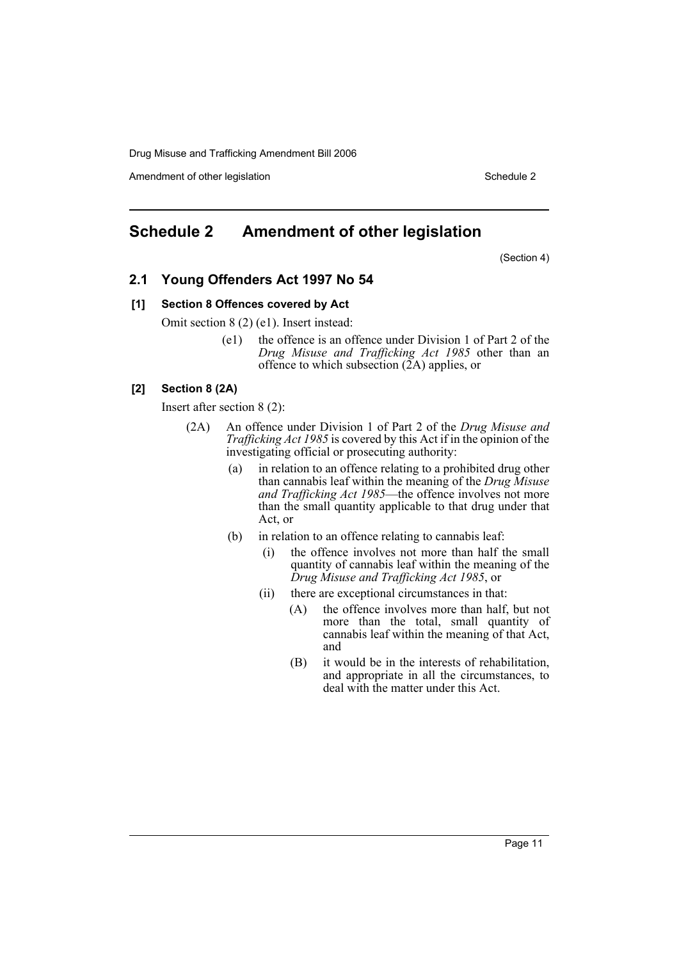Amendment of other legislation Schedule 2

# <span id="page-11-0"></span>**Schedule 2 Amendment of other legislation**

(Section 4)

# **2.1 Young Offenders Act 1997 No 54**

#### **[1] Section 8 Offences covered by Act**

Omit section 8 (2) (e1). Insert instead:

(e1) the offence is an offence under Division 1 of Part 2 of the *Drug Misuse and Trafficking Act 1985* other than an offence to which subsection  $(2A)$  applies, or

# **[2] Section 8 (2A)**

Insert after section 8 (2):

- (2A) An offence under Division 1 of Part 2 of the *Drug Misuse and Trafficking Act 1985* is covered by this Act if in the opinion of the investigating official or prosecuting authority:
	- (a) in relation to an offence relating to a prohibited drug other than cannabis leaf within the meaning of the *Drug Misuse and Trafficking Act 1985*—the offence involves not more than the small quantity applicable to that drug under that Act, or
	- (b) in relation to an offence relating to cannabis leaf:
		- (i) the offence involves not more than half the small quantity of cannabis leaf within the meaning of the *Drug Misuse and Trafficking Act 1985*, or
		- (ii) there are exceptional circumstances in that:
			- (A) the offence involves more than half, but not more than the total, small quantity of cannabis leaf within the meaning of that Act, and
			- (B) it would be in the interests of rehabilitation, and appropriate in all the circumstances, to deal with the matter under this Act.